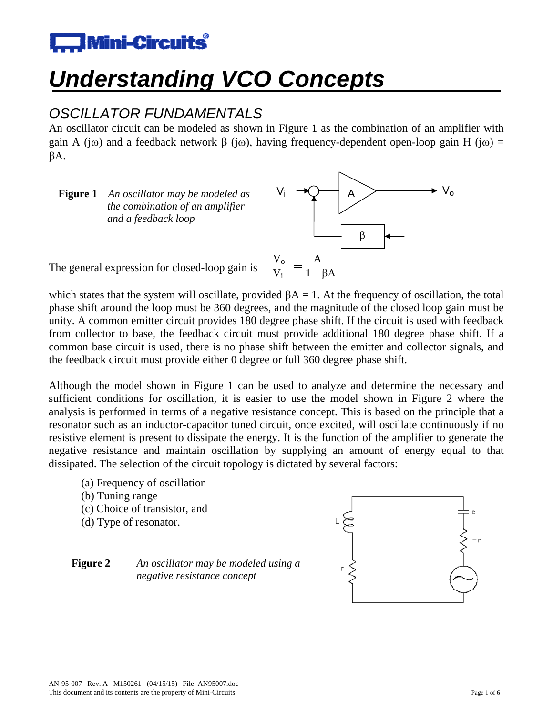

# *Understanding VCO Concepts*

# *OSCILLATOR FUNDAMENTALS*

An oscillator circuit can be modeled as shown in Figure 1 as the combination of an amplifier with gain A (j $\omega$ ) and a feedback network  $\beta$  (j $\omega$ ), having frequency-dependent open-loop gain H (j $\omega$ ) =  $\beta A$ .

**Figure 1** An oscillator may be modeled as *the combination of an amplifier and a feedback loop*



The general expression for closed-loop gain is

which states that the system will oscillate, provided  $\beta A = 1$ . At the frequency of oscillation, the total phase shift around the loop must be 360 degrees, and the magnitude of the closed loop gain must be unity. A common emitter circuit provides 180 degree phase shift. If the circuit is used with feedback from collector to base, the feedback circuit must provide additional 180 degree phase shift. If a common base circuit is used, there is no phase shift between the emitter and collector signals, and the feedback circuit must provide either 0 degree or full 360 degree phase shift.

Although the model shown in Figure 1 can be used to analyze and determine the necessary and sufficient conditions for oscillation, it is easier to use the model shown in Figure 2 where the analysis is performed in terms of a negative resistance concept. This is based on the principle that a resonator such as an inductor-capacitor tuned circuit, once excited, will oscillate continuously if no resistive element is present to dissipate the energy. It is the function of the amplifier to generate the negative resistance and maintain oscillation by supplying an amount of energy equal to that dissipated. The selection of the circuit topology is dictated by several factors:

- (a) Frequency of oscillation
- (b) Tuning range
- (c) Choice of transistor, and
- (d) Type of resonator.



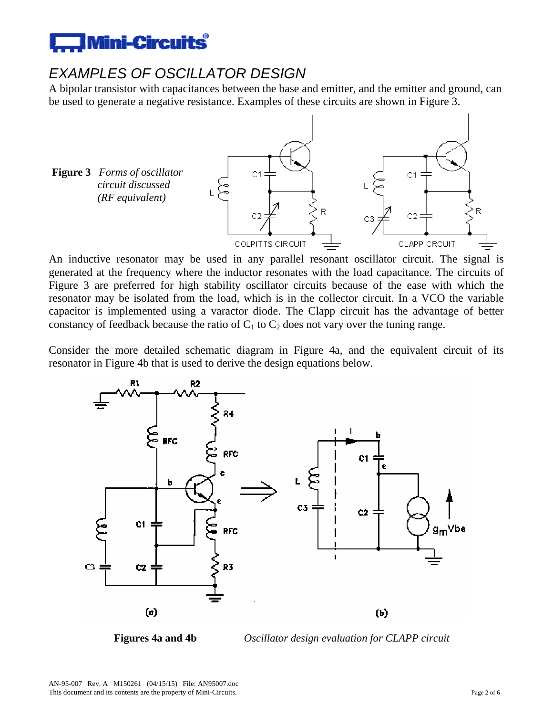

### *EXAMPLES OF OSCILLATOR DESIGN*

A bipolar transistor with capacitances between the base and emitter, and the emitter and ground, can be used to generate a negative resistance. Examples of these circuits are shown in Figure 3.



An inductive resonator may be used in any parallel resonant oscillator circuit. The signal is generated at the frequency where the inductor resonates with the load capacitance. The circuits of Figure 3 are preferred for high stability oscillator circuits because of the ease with which the resonator may be isolated from the load, which is in the collector circuit. In a VCO the variable capacitor is implemented using a varactor diode. The Clapp circuit has the advantage of better constancy of feedback because the ratio of  $C_1$  to  $C_2$  does not vary over the tuning range.

Consider the more detailed schematic diagram in Figure 4a, and the equivalent circuit of its resonator in Figure 4b that is used to derive the design equations below.



**Figures 4a and 4b** *Oscillator design evaluation for CLAPP circuit*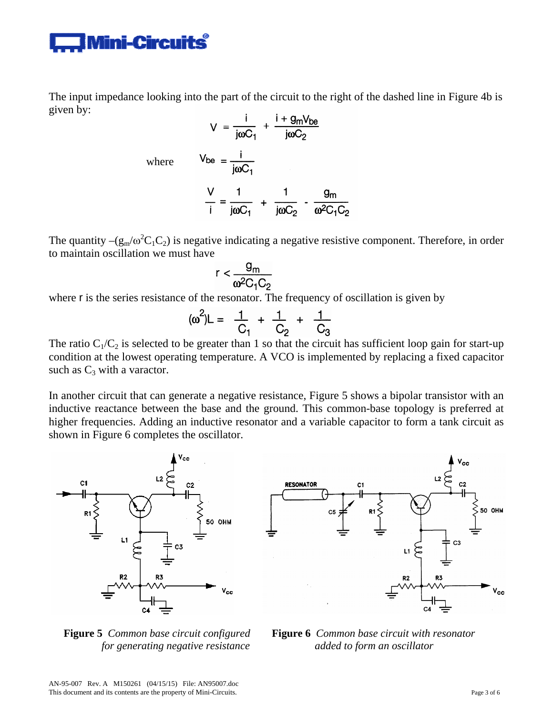

The input impedance looking into the part of the circuit to the right of the dashed line in Figure 4b is given by:

$$
V = \frac{i}{j\omega C_1} + \frac{i + g_m V_{be}}{j\omega C_2}
$$
  
where 
$$
V_{be} = \frac{i}{j\omega C_1}
$$

$$
\frac{V}{i} = \frac{1}{j\omega C_1} + \frac{1}{j\omega C_2} - \frac{g_m}{\omega^2 C_1 C_2}
$$

The quantity  $-(g_m/\omega^2 C_1C_2)$  is negative indicating a negative resistive component. Therefore, in order to maintain oscillation we must have

$$
r < \frac{g_m}{\omega^2 C_1 C_2}
$$

where r is the series resistance of the resonator. The frequency of oscillation is given by

$$
(\omega^2)L = \frac{1}{C_1} + \frac{1}{C_2} + \frac{1}{C_3}
$$

The ratio  $C_1/C_2$  is selected to be greater than 1 so that the circuit has sufficient loop gain for start-up condition at the lowest operating temperature. A VCO is implemented by replacing a fixed capacitor such as  $C_3$  with a varactor.

In another circuit that can generate a negative resistance, Figure 5 shows a bipolar transistor with an inductive reactance between the base and the ground. This common-base topology is preferred at higher frequencies. Adding an inductive resonator and a variable capacitor to form a tank circuit as shown in Figure 6 completes the oscillator.



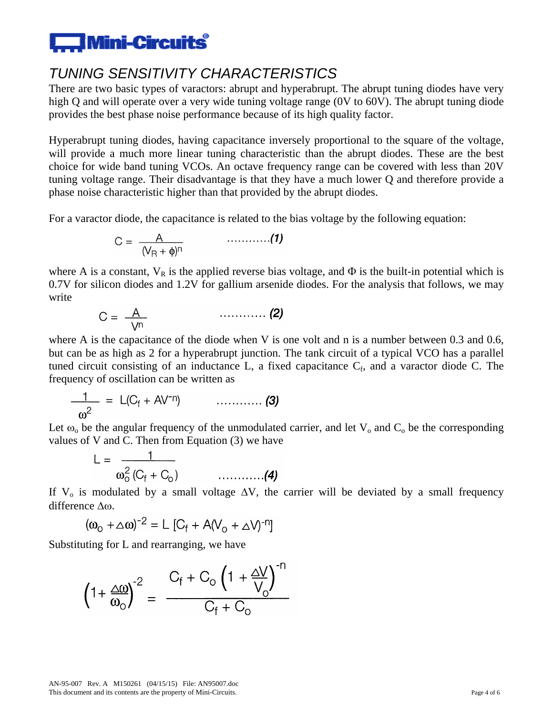# $\Box$  Mini-Circuits $\degree$

# *TUNING SENSITIVITY CHARACTERISTICS*

There are two basic types of varactors: abrupt and hyperabrupt. The abrupt tuning diodes have very high Q and will operate over a very wide tuning voltage range (0V to 60V). The abrupt tuning diode provides the best phase noise performance because of its high quality factor.

Hyperabrupt tuning diodes, having capacitance inversely proportional to the square of the voltage, will provide a much more linear tuning characteristic than the abrupt diodes. These are the best choice for wide band tuning VCOs. An octave frequency range can be covered with less than 20V tuning voltage range. Their disadvantage is that they have a much lower Q and therefore provide a phase noise characteristic higher than that provided by the abrupt diodes.

For a varactor diode, the capacitance is related to the bias voltage by the following equation:

$$
C = \frac{A}{(V_R + \phi)^n} \qquad \qquad \ldots \ldots \ldots \ldots (1)
$$

where A is a constant,  $V_R$  is the applied reverse bias voltage, and  $\Phi$  is the built-in potential which is 0.7V for silicon diodes and 1.2V for gallium arsenide diodes. For the analysis that follows, we may write

$$
C = \frac{A}{\sqrt{n}} \qquad \qquad \qquad \dots \dots \dots \dots \tag{2}
$$

where A is the capacitance of the diode when V is one volt and n is a number between 0.3 and 0.6, but can be as high as 2 for a hyperabrupt junction. The tank circuit of a typical VCO has a parallel tuned circuit consisting of an inductance L, a fixed capacitance  $C_f$ , and a varactor diode C. The frequency of oscillation can be written as

$$
\frac{1}{\omega^2} = L(C_f + AV^{-n}) \qquad \qquad \ldots \ldots \ldots \qquad (3)
$$

Let  $\omega_0$  be the angular frequency of the unmodulated carrier, and let  $V_0$  and  $C_0$  be the corresponding values of V and C. Then from Equation (3) we have

$$
L = \frac{1}{\omega_o^2 (C_f + C_o)}
$$
 (4)

If V<sub>o</sub> is modulated by a small voltage  $\Delta V$ , the carrier will be deviated by a small frequency difference  $\Delta\omega$ .

$$
(\omega_{\text{O}} + \triangle \omega)^{-2} = L [C_f + A(V_{\text{O}} + \triangle V)^{-n}]
$$

Substituting for L and rearranging, we have

$$
\left(1+\frac{\Delta\omega}{\omega_{\text{o}}}\right)^{-2} = \frac{C_{\text{f}}+C_{\text{o}}\left(1+\frac{\Delta V}{V_{\text{o}}}\right)^{-n}}{C_{\text{f}}+C_{\text{o}}}
$$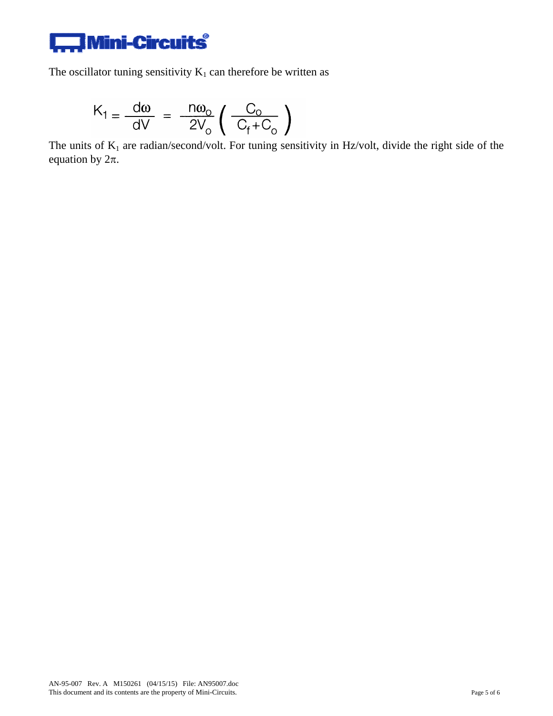

The oscillator tuning sensitivity  $K_1$  can therefore be written as

$$
K_1 = \frac{d\omega}{dV} = \frac{n\omega_o}{2V_o} \left(\frac{C_o}{C_f + C_o}\right)
$$

The units of  $K_1$  are radian/second/volt. For tuning sensitivity in Hz/volt, divide the right side of the equation by  $2\pi$ .